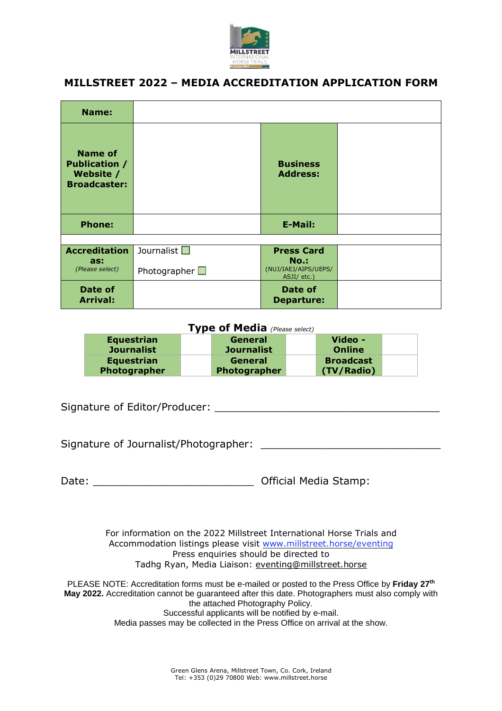

## **MILLSTREET 2022 – MEDIA ACCREDITATION APPLICATION FORM**

| <b>Name:</b>                                                               |                      |                                             |  |
|----------------------------------------------------------------------------|----------------------|---------------------------------------------|--|
| <b>Name of</b><br><b>Publication /</b><br>Website /<br><b>Broadcaster:</b> |                      | <b>Business</b><br><b>Address:</b>          |  |
| <b>Phone:</b>                                                              |                      | <b>E-Mail:</b>                              |  |
|                                                                            |                      |                                             |  |
| <b>Accreditation</b>                                                       | Journalist $\square$ | <b>Press Card</b>                           |  |
| as:<br>(Please select)                                                     | Photographer $\Box$  | No.:<br>(NUJ/IAEJ/AIPS/UEPS/<br>ASJI/ etc.) |  |
| Date of<br><b>Arrival:</b>                                                 |                      | Date of<br><b>Departure:</b>                |  |

## **Type of Media** *(Please select)* **Equestrian Journalist General Journalist Video - Online Equestrian Photographer General Photographer Broadcast (TV/Radio)**

Signature of Editor/Producer: \_\_\_\_\_\_\_\_\_\_\_\_\_\_\_\_\_\_\_\_\_\_\_\_\_\_\_\_\_\_\_\_\_\_\_ Signature of Journalist/Photographer:  $\Box$ Date: **Date: Date: Date: Date: Date: Date: Date: Determined By All 2016** For information on the 2022 Millstreet International Horse Trials and Accommodation listings please visit www.millstreet.horse/eventing Press enquiries should be directed to Tadhg Ryan, Media Liaison: [eventing@millstreet.horse](mailto:eventing@millstreet.horse) PLEASE NOTE: Accreditation forms must be e-mailed or posted to the Press Office by **Friday 27th May 2022.** Accreditation cannot be guaranteed after this date. Photographers must also comply with

the attached Photography Policy.

Successful applicants will be notified by e-mail.

Media passes may be collected in the Press Office on arrival at the show.